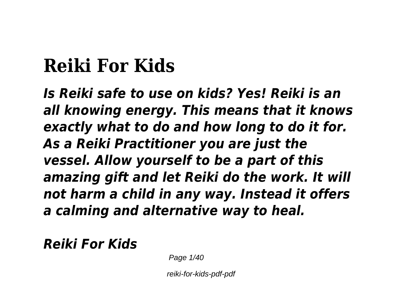# **Reiki For Kids**

*Is Reiki safe to use on kids? Yes! Reiki is an all knowing energy. This means that it knows exactly what to do and how long to do it for. As a Reiki Practitioner you are just the vessel. Allow yourself to be a part of this amazing gift and let Reiki do the work. It will not harm a child in any way. Instead it offers a calming and alternative way to heal.*

*Reiki For Kids*

Page  $1/40$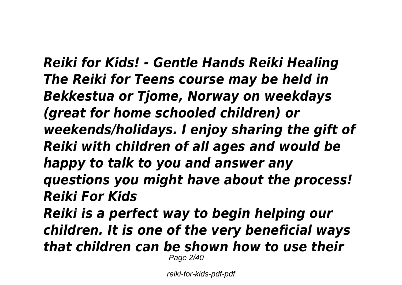*Reiki for Kids! - Gentle Hands Reiki Healing The Reiki for Teens course may be held in Bekkestua or Tjome, Norway on weekdays (great for home schooled children) or weekends/holidays. I enjoy sharing the gift of Reiki with children of all ages and would be happy to talk to you and answer any questions you might have about the process! Reiki For Kids Reiki is a perfect way to begin helping our children. It is one of the very beneficial ways that children can be shown how to use their* Page 2/40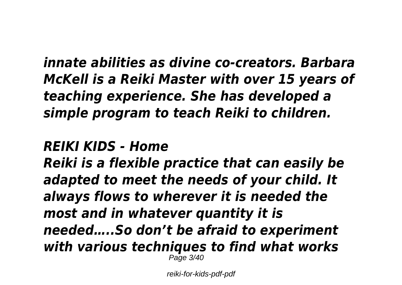*innate abilities as divine co-creators. Barbara McKell is a Reiki Master with over 15 years of teaching experience. She has developed a simple program to teach Reiki to children.*

### *REIKI KIDS - Home*

*Reiki is a flexible practice that can easily be adapted to meet the needs of your child. It always flows to wherever it is needed the most and in whatever quantity it is needed…..So don't be afraid to experiment with various techniques to find what works* Page 3/40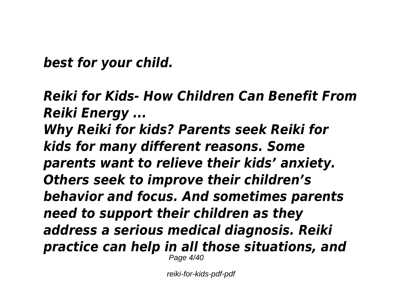*best for your child.*

*Reiki for Kids- How Children Can Benefit From Reiki Energy ... Why Reiki for kids? Parents seek Reiki for kids for many different reasons. Some parents want to relieve their kids' anxiety. Others seek to improve their children's behavior and focus. And sometimes parents need to support their children as they address a serious medical diagnosis. Reiki practice can help in all those situations, and* Page 4/40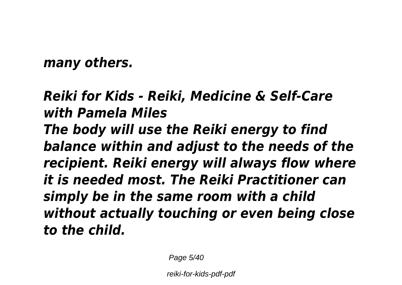*many others.*

*Reiki for Kids - Reiki, Medicine & Self-Care with Pamela Miles The body will use the Reiki energy to find balance within and adjust to the needs of the recipient. Reiki energy will always flow where it is needed most. The Reiki Practitioner can simply be in the same room with a child without actually touching or even being close to the child.*

Page 5/40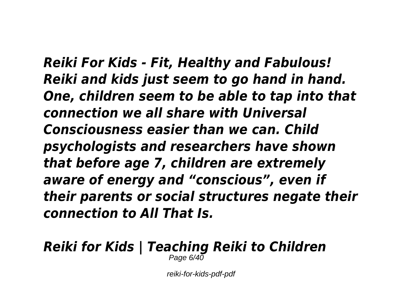*Reiki For Kids - Fit, Healthy and Fabulous! Reiki and kids just seem to go hand in hand. One, children seem to be able to tap into that connection we all share with Universal Consciousness easier than we can. Child psychologists and researchers have shown that before age 7, children are extremely aware of energy and "conscious", even if their parents or social structures negate their connection to All That Is.*

#### *Reiki for Kids | Teaching Reiki to Children* Page  $6/40$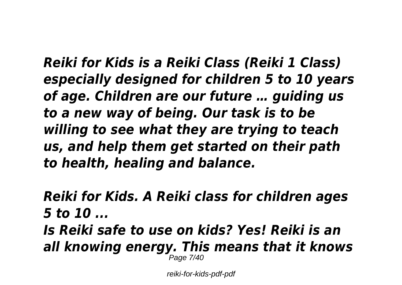*Reiki for Kids is a Reiki Class (Reiki 1 Class) especially designed for children 5 to 10 years of age. Children are our future … guiding us to a new way of being. Our task is to be willing to see what they are trying to teach us, and help them get started on their path to health, healing and balance.*

*Reiki for Kids. A Reiki class for children ages 5 to 10 ... Is Reiki safe to use on kids? Yes! Reiki is an all knowing energy. This means that it knows* Page 7/40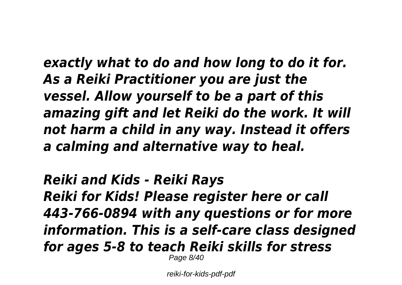*exactly what to do and how long to do it for. As a Reiki Practitioner you are just the vessel. Allow yourself to be a part of this amazing gift and let Reiki do the work. It will not harm a child in any way. Instead it offers a calming and alternative way to heal.*

*Reiki and Kids - Reiki Rays Reiki for Kids! Please register here or call 443-766-0894 with any questions or for more information. This is a self-care class designed for ages 5-8 to teach Reiki skills for stress* Page 8/40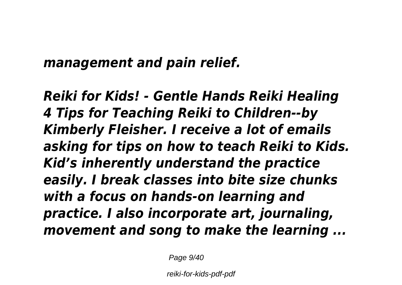### *management and pain relief.*

*Reiki for Kids! - Gentle Hands Reiki Healing 4 Tips for Teaching Reiki to Children--by Kimberly Fleisher. I receive a lot of emails asking for tips on how to teach Reiki to Kids. Kid's inherently understand the practice easily. I break classes into bite size chunks with a focus on hands-on learning and practice. I also incorporate art, journaling, movement and song to make the learning ...*

Page  $9/40$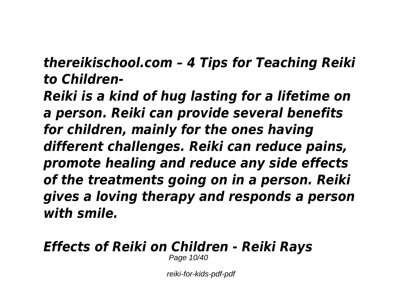*thereikischool.com – 4 Tips for Teaching Reiki to Children-*

*Reiki is a kind of hug lasting for a lifetime on a person. Reiki can provide several benefits for children, mainly for the ones having different challenges. Reiki can reduce pains, promote healing and reduce any side effects of the treatments going on in a person. Reiki gives a loving therapy and responds a person with smile.*

# *Effects of Reiki on Children - Reiki Rays*

Page 10/40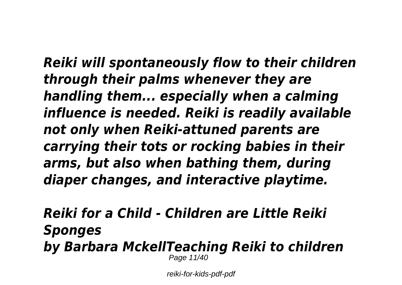*Reiki will spontaneously flow to their children through their palms whenever they are handling them... especially when a calming influence is needed. Reiki is readily available not only when Reiki-attuned parents are carrying their tots or rocking babies in their arms, but also when bathing them, during diaper changes, and interactive playtime.*

#### *Reiki for a Child - Children are Little Reiki Sponges by Barbara MckellTeaching Reiki to children* Page 11/40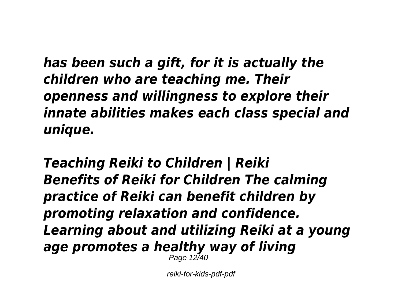*has been such a gift, for it is actually the children who are teaching me. Their openness and willingness to explore their innate abilities makes each class special and unique.*

*Teaching Reiki to Children | Reiki Benefits of Reiki for Children The calming practice of Reiki can benefit children by promoting relaxation and confidence. Learning about and utilizing Reiki at a young age promotes a healthy way of living* Page 12/40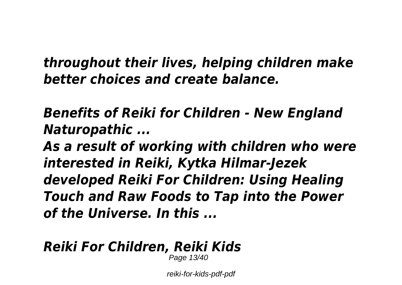*throughout their lives, helping children make better choices and create balance.*

*Benefits of Reiki for Children - New England Naturopathic ...*

*As a result of working with children who were interested in Reiki, Kytka Hilmar-Jezek developed Reiki For Children: Using Healing Touch and Raw Foods to Tap into the Power of the Universe. In this ...*

# *Reiki For Children, Reiki Kids*

Page 13/40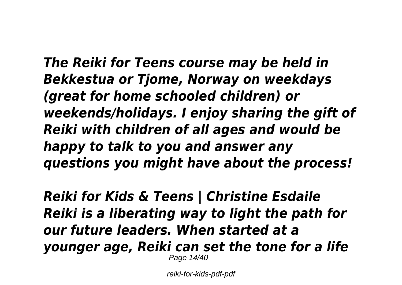*The Reiki for Teens course may be held in Bekkestua or Tjome, Norway on weekdays (great for home schooled children) or weekends/holidays. I enjoy sharing the gift of Reiki with children of all ages and would be happy to talk to you and answer any questions you might have about the process!*

*Reiki for Kids & Teens | Christine Esdaile Reiki is a liberating way to light the path for our future leaders. When started at a younger age, Reiki can set the tone for a life* Page 14/40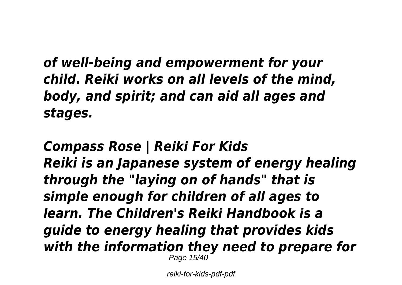*of well-being and empowerment for your child. Reiki works on all levels of the mind, body, and spirit; and can aid all ages and stages.*

*Compass Rose | Reiki For Kids Reiki is an Japanese system of energy healing through the "laying on of hands" that is simple enough for children of all ages to learn. The Children's Reiki Handbook is a guide to energy healing that provides kids with the information they need to prepare for* Page 15/40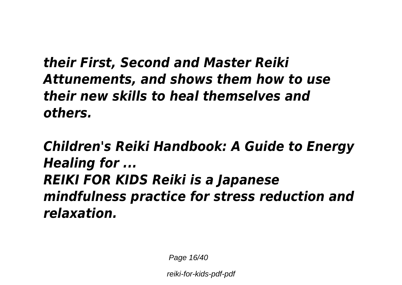*their First, Second and Master Reiki Attunements, and shows them how to use their new skills to heal themselves and others.*

*Children's Reiki Handbook: A Guide to Energy Healing for ... REIKI FOR KIDS Reiki is a Japanese mindfulness practice for stress reduction and relaxation.*

Page 16/40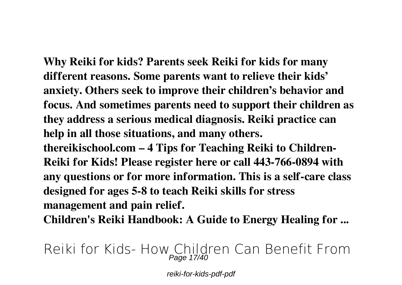**Why Reiki for kids? Parents seek Reiki for kids for many different reasons. Some parents want to relieve their kids' anxiety. Others seek to improve their children's behavior and focus. And sometimes parents need to support their children as they address a serious medical diagnosis. Reiki practice can help in all those situations, and many others.**

**thereikischool.com – 4 Tips for Teaching Reiki to Children-Reiki for Kids! Please register here or call 443-766-0894 with any questions or for more information. This is a self-care class designed for ages 5-8 to teach Reiki skills for stress management and pain relief.**

**Children's Reiki Handbook: A Guide to Energy Healing for ...**

**Reiki for Kids- How Children Can Benefit From** Page 17/40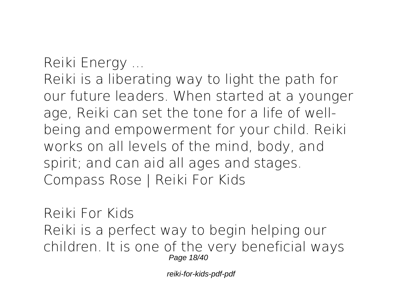**Reiki Energy ...**

Reiki is a liberating way to light the path for our future leaders. When started at a younger age, Reiki can set the tone for a life of wellbeing and empowerment for your child. Reiki works on all levels of the mind, body, and spirit; and can aid all ages and stages. **Compass Rose | Reiki For Kids**

**Reiki For Kids** Reiki is a perfect way to begin helping our children. It is one of the very beneficial ways Page 18/40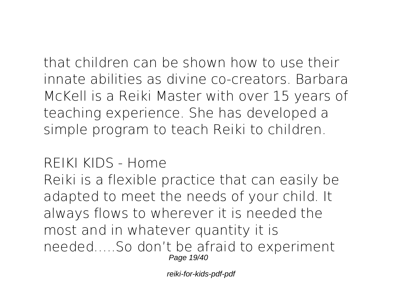that children can be shown how to use their innate abilities as divine co-creators. Barbara McKell is a Reiki Master with over 15 years of teaching experience. She has developed a simple program to teach Reiki to children.

**REIKI KIDS - Home**

Reiki is a flexible practice that can easily be adapted to meet the needs of your child. It always flows to wherever it is needed the most and in whatever quantity it is needed…..So don't be afraid to experiment Page 19/40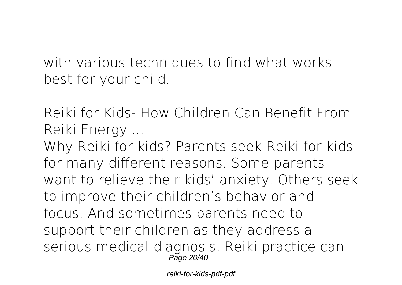with various techniques to find what works best for your child.

**Reiki for Kids- How Children Can Benefit From Reiki Energy ...**

Why Reiki for kids? Parents seek Reiki for kids for many different reasons. Some parents want to relieve their kids' anxiety. Others seek to improve their children's behavior and focus. And sometimes parents need to support their children as they address a serious medical diagnosis. Reiki practice can Page 20/40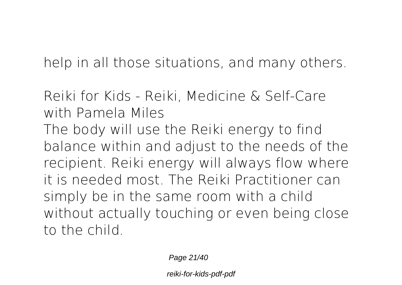help in all those situations, and many others.

**Reiki for Kids - Reiki, Medicine & Self-Care with Pamela Miles**

The body will use the Reiki energy to find balance within and adjust to the needs of the recipient. Reiki energy will always flow where it is needed most. The Reiki Practitioner can simply be in the same room with a child without actually touching or even being close to the child.

Page 21/40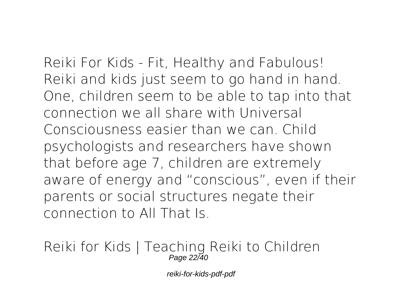**Reiki For Kids - Fit, Healthy and Fabulous!** Reiki and kids just seem to go hand in hand. One, children seem to be able to tap into that connection we all share with Universal Consciousness easier than we can. Child psychologists and researchers have shown that before age 7, children are extremely aware of energy and "conscious", even if their parents or social structures negate their connection to All That Is.

**Reiki for Kids | Teaching Reiki to Children** Page 22/40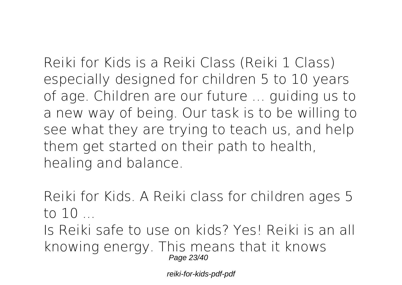Reiki for Kids is a Reiki Class (Reiki 1 Class) especially designed for children 5 to 10 years of age. Children are our future … guiding us to a new way of being. Our task is to be willing to see what they are trying to teach us, and help them get started on their path to health,

healing and balance.

**Reiki for Kids. A Reiki class for children ages 5 to 10 ...**

Is Reiki safe to use on kids? Yes! Reiki is an all knowing energy. This means that it knows Page 23/40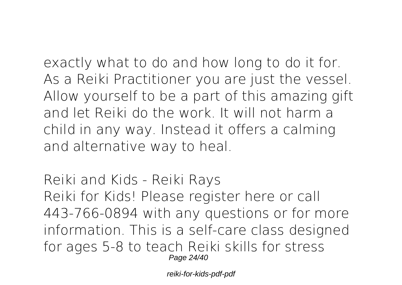exactly what to do and how long to do it for. As a Reiki Practitioner you are just the vessel. Allow yourself to be a part of this amazing gift and let Reiki do the work. It will not harm a child in any way. Instead it offers a calming and alternative way to heal.

**Reiki and Kids - Reiki Rays** Reiki for Kids! Please register here or call 443-766-0894 with any questions or for more information. This is a self-care class designed for ages 5-8 to teach Reiki skills for stress Page 24/40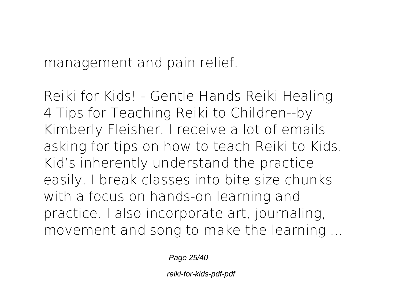management and pain relief.

**Reiki for Kids! - Gentle Hands Reiki Healing** 4 Tips for Teaching Reiki to Children--by Kimberly Fleisher. I receive a lot of emails asking for tips on how to teach Reiki to Kids. Kid's inherently understand the practice easily. I break classes into bite size chunks with a focus on hands-on learning and practice. I also incorporate art, journaling, movement and song to make the learning ...

Page 25/40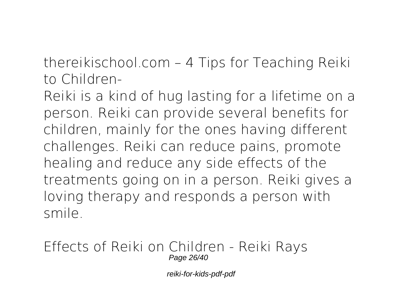**thereikischool.com – 4 Tips for Teaching Reiki to Children-**

Reiki is a kind of hug lasting for a lifetime on a person. Reiki can provide several benefits for children, mainly for the ones having different challenges. Reiki can reduce pains, promote healing and reduce any side effects of the treatments going on in a person. Reiki gives a loving therapy and responds a person with smile.

**Effects of Reiki on Children - Reiki Rays** Page 26/40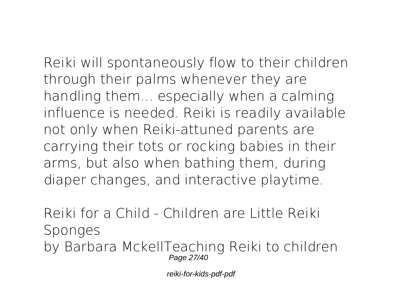Reiki will spontaneously flow to their children through their palms whenever they are handling them... especially when a calming influence is needed. Reiki is readily available not only when Reiki-attuned parents are carrying their tots or rocking babies in their

arms, but also when bathing them, during diaper changes, and interactive playtime.

**Reiki for a Child - Children are Little Reiki Sponges** by Barbara MckellTeaching Reiki to children Page 27/40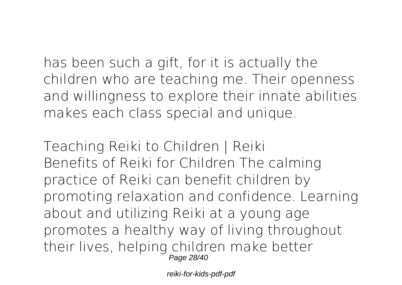has been such a gift, for it is actually the children who are teaching me. Their openness and willingness to explore their innate abilities makes each class special and unique.

**Teaching Reiki to Children | Reiki** Benefits of Reiki for Children The calming practice of Reiki can benefit children by promoting relaxation and confidence. Learning about and utilizing Reiki at a young age promotes a healthy way of living throughout their lives, helping children make better Page 28/40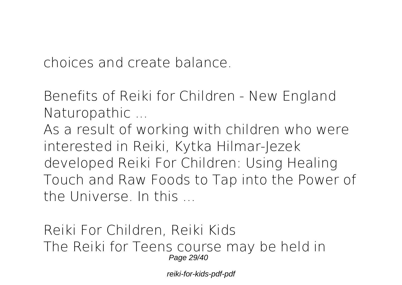choices and create balance.

**Benefits of Reiki for Children - New England Naturopathic ...**

As a result of working with children who were interested in Reiki, Kytka Hilmar-Jezek developed Reiki For Children: Using Healing Touch and Raw Foods to Tap into the Power of the Universe. In this ...

**Reiki For Children, Reiki Kids** The Reiki for Teens course may be held in Page 29/40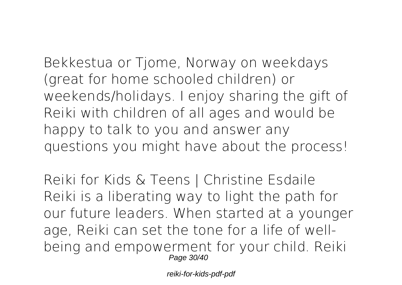Bekkestua or Tjome, Norway on weekdays (great for home schooled children) or weekends/holidays. I enjoy sharing the gift of Reiki with children of all ages and would be happy to talk to you and answer any questions you might have about the process!

**Reiki for Kids & Teens | Christine Esdaile** Reiki is a liberating way to light the path for our future leaders. When started at a younger age, Reiki can set the tone for a life of wellbeing and empowerment for your child. Reiki Page 30/40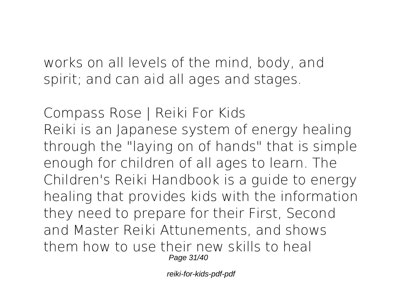works on all levels of the mind, body, and spirit; and can aid all ages and stages.

**Compass Rose | Reiki For Kids** Reiki is an Japanese system of energy healing through the "laying on of hands" that is simple enough for children of all ages to learn. The Children's Reiki Handbook is a guide to energy healing that provides kids with the information they need to prepare for their First, Second and Master Reiki Attunements, and shows them how to use their new skills to heal Page 31/40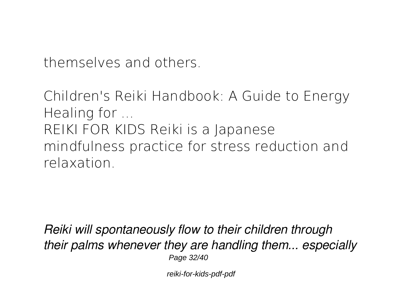themselves and others.

**Children's Reiki Handbook: A Guide to Energy Healing for ...** REIKI FOR KIDS Reiki is a Japanese mindfulness practice for stress reduction and relaxation.

*Reiki will spontaneously flow to their children through their palms whenever they are handling them... especially* Page 32/40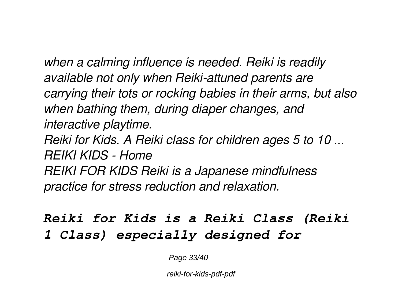*when a calming influence is needed. Reiki is readily available not only when Reiki-attuned parents are carrying their tots or rocking babies in their arms, but also when bathing them, during diaper changes, and interactive playtime.*

*Reiki for Kids. A Reiki class for children ages 5 to 10 ... REIKI KIDS - Home REIKI FOR KIDS Reiki is a Japanese mindfulness practice for stress reduction and relaxation.*

## *Reiki for Kids is a Reiki Class (Reiki 1 Class) especially designed for*

Page 33/40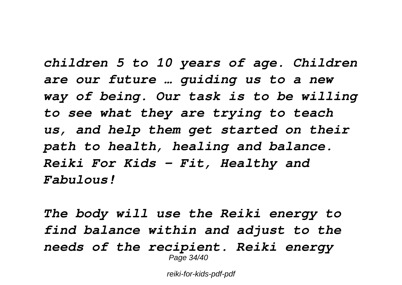*children 5 to 10 years of age. Children are our future … guiding us to a new way of being. Our task is to be willing to see what they are trying to teach us, and help them get started on their path to health, healing and balance. Reiki For Kids - Fit, Healthy and Fabulous!*

*The body will use the Reiki energy to find balance within and adjust to the needs of the recipient. Reiki energy* Page 34/40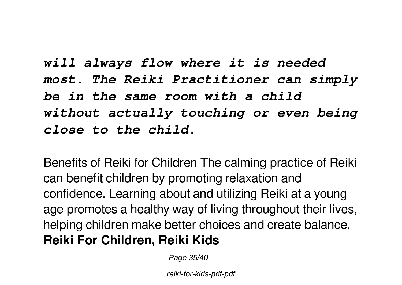*will always flow where it is needed most. The Reiki Practitioner can simply be in the same room with a child without actually touching or even being close to the child.*

Benefits of Reiki for Children The calming practice of Reiki can benefit children by promoting relaxation and confidence. Learning about and utilizing Reiki at a young age promotes a healthy way of living throughout their lives, helping children make better choices and create balance. **Reiki For Children, Reiki Kids**

Page 35/40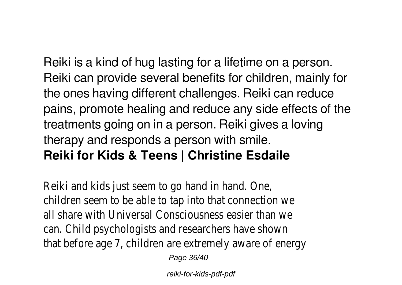Reiki is a kind of hug lasting for a lifetime on a person. Reiki can provide several benefits for children, mainly for the ones having different challenges. Reiki can reduce pains, promote healing and reduce any side effects of the treatments going on in a person. Reiki gives a loving therapy and responds a person with smile. **Reiki for Kids & Teens | Christine Esdaile**

Reiki and kids just seem to go hand in hand. children seem to be able to tap into that co all share with Universal Consciousness easie can. Child psychologists and researchers have that before age 7, children are extremely aware

Page 36/40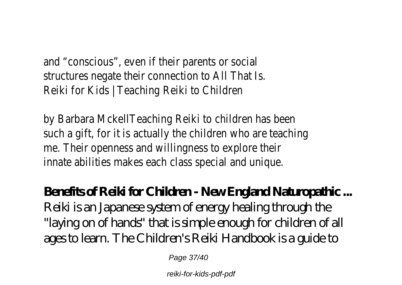and "conscious", even if their parents or soc structures negate their connection to All Th Reiki for Kids | Teaching Reiki to Children

by Barbara MckellTeaching Reiki to children has such a gift, for it is actually the children wh me. Their openness and willingness to explore innate abilities makes each class special and

# **Benefits of Reiki for Children - New England Naturopathic ...** Reiki is an Japanese system of energy healing through the

"laying on of hands" that is simple enough for children of all ages to learn. The Children's Reiki Handbook is a guide to

Page 37/40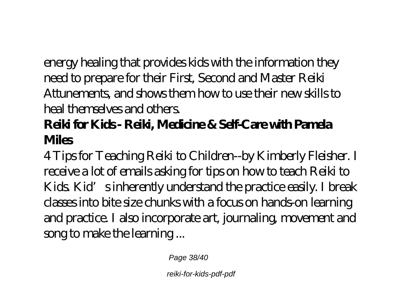energy healing that provides kids with the information they need to prepare for their First, Second and Master Reiki Attunements, and shows them how to use their new skills to heal themselves and others.

# **Reiki for Kids - Reiki, Medicine & Self-Care with Pamela Miles**

4 Tips for Teaching Reiki to Children--by Kimberly Fleisher. I receive a lot of emails asking for tips on how to teach Reiki to Kids. Kid's inherently understand the practice easily. I break classes into bite size chunks with a focus on hands-on learning and practice. I also incorporate art, journaling, movement and song to make the learning ...

Page 38/40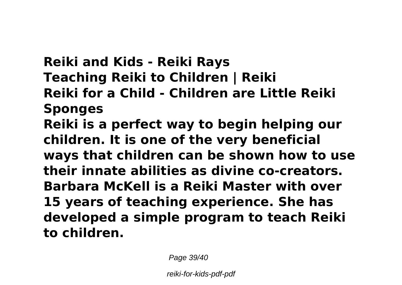**Reiki and Kids - Reiki Rays Teaching Reiki to Children | Reiki Reiki for a Child - Children are Little Reiki Sponges Reiki is a perfect way to begin helping our children. It is one of the very beneficial ways that children can be shown how to use their innate abilities as divine co-creators. Barbara McKell is a Reiki Master with over 15 years of teaching experience. She has developed a simple program to teach Reiki to children.**

Page 39/40